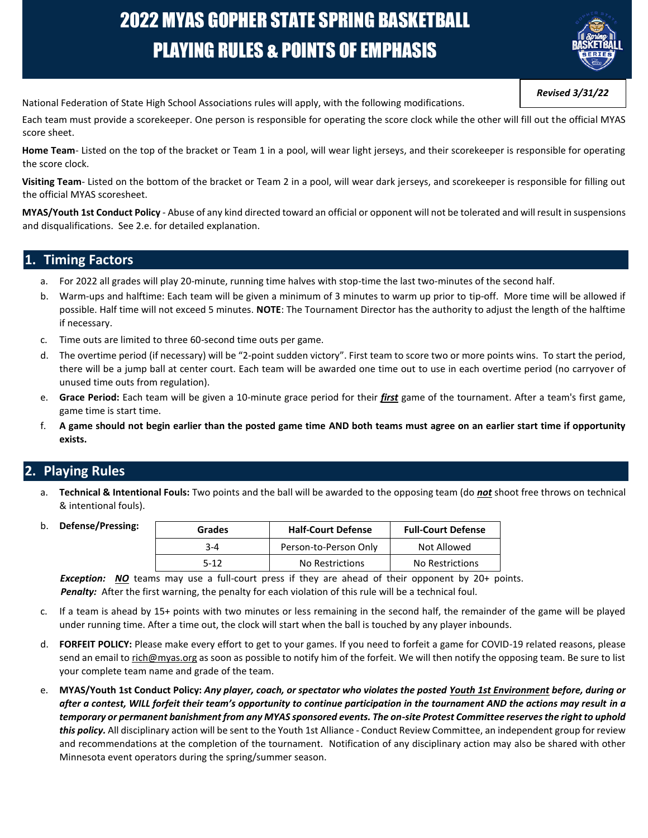# 2022 MYAS GOPHER STATE SPRING BASKETBALL PLAYING RULES & POINTS OF EMPHASIS



*Revised 3/31/22* 

National Federation of State High School Associations rules will apply, with the following modifications.

Each team must provide a scorekeeper. One person is responsible for operating the score clock while the other will fill out the official MYAS score sheet.

Home Team- Listed on the top of the bracket or Team 1 in a pool, will wear light jerseys, and their scorekeeper is responsible for operating the score clock.

**Visiting Team**- Listed on the bottom of the bracket or Team 2 in a pool, will wear dark jerseys, and scorekeeper is responsible for filling out the official MYAS scoresheet.

**MYAS/Youth 1st Conduct Policy** - Abuse of any kind directed toward an official or opponent will not be tolerated and will result in suspensions and disqualifications. See 2.e. for detailed explanation.

#### **1. Timing Factors**

- a. For 2022 all grades will play 20-minute, running time halves with stop-time the last two-minutes of the second half.
- b. Warm-ups and halftime: Each team will be given a minimum of 3 minutes to warm up prior to tip-off. More time will be allowed if possible. Half time will not exceed 5 minutes. **NOTE**: The Tournament Director has the authority to adjust the length of the halftime if necessary.
- c. Time outs are limited to three 60-second time outs per game.
- d. The overtime period (if necessary) will be "2-point sudden victory". First team to score two or more points wins. To start the period, there will be a jump ball at center court. Each team will be awarded one time out to use in each overtime period (no carryover of unused time outs from regulation).
- e. **Grace Period:** Each team will be given a 10-minute grace period for their *first* game of the tournament. After a team's first game, game time is start time.
- f. **A game should not begin earlier than the posted game time AND both teams must agree on an earlier start time if opportunity exists.**

## **2. Playing Rules**

- a. **Technical & Intentional Fouls:** Two points and the ball will be awarded to the opposing team (do *not* shoot free throws on technical & intentional fouls).
- b. **Defense/Pressing:**

| Grades | <b>Half-Court Defense</b> | <b>Full-Court Defense</b> |
|--------|---------------------------|---------------------------|
| 3-4    | Person-to-Person Only     | Not Allowed               |
| 5-12   | No Restrictions           | No Restrictions           |

*Exception: NO* teams may use a full-court press if they are ahead of their opponent by 20+ points. Penalty: After the first warning, the penalty for each violation of this rule will be a technical foul.

- c. If a team is ahead by 15+ points with two minutes or less remaining in the second half, the remainder of the game will be played under running time. After a time out, the clock will start when the ball is touched by any player inbounds.
- d. **FORFEIT POLICY:** Please make every effort to get to your games. If you need to forfeit a game for COVID-19 related reasons, please send an email to rich@myas.org as soon as possible to notify him of the forfeit. We will then notify the opposing team. Be sure to list your complete team name and grade of the team.
- e. **MYAS/Youth 1st Conduct Policy:** *Any player, coach, or spectator who violates the posted Youth 1st Environment before, during or after a contest, WILL forfeit their team's opportunity to continue participation in the tournament AND the actions may result in a temporary or permanent banishment from any MYAS sponsored events. The on-site Protest Committee reserves the right to uphold this policy.* All disciplinary action will be sent to the Youth 1st Alliance - Conduct Review Committee, an independent group for review and recommendations at the completion of the tournament. Notification of any disciplinary action may also be shared with other Minnesota event operators during the spring/summer season.